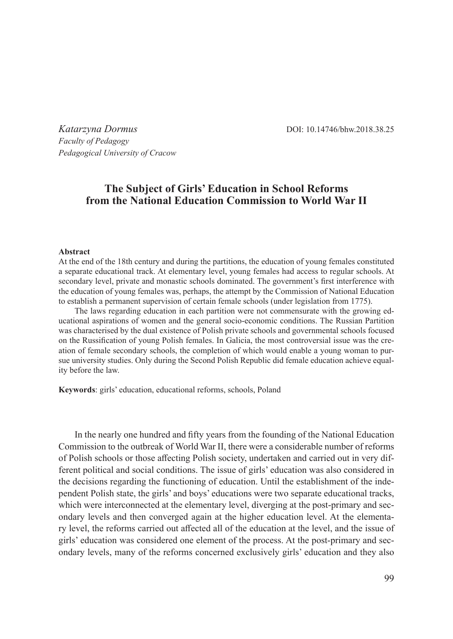*Katarzyna Dormus* DOI: 10.14746/bhw.2018.38.25 *Faculty of Pedagogy Pedagogical University of Cracow*

## **The Subject of Girls' Education in School Reforms from the National Education Commission to World War II**

## **Abstract**

At the end of the 18th century and during the partitions, the education of young females constituted a separate educational track. At elementary level, young females had access to regular schools. At secondary level, private and monastic schools dominated. The government's first interference with the education of young females was, perhaps, the attempt by the Commission of National Education to establish a permanent supervision of certain female schools (under legislation from 1775).

The laws regarding education in each partition were not commensurate with the growing educational aspirations of women and the general socio-economic conditions. The Russian Partition was characterised by the dual existence of Polish private schools and governmental schools focused on the Russification of young Polish females. In Galicia, the most controversial issue was the creation of female secondary schools, the completion of which would enable a young woman to pursue university studies. Only during the Second Polish Republic did female education achieve equality before the law.

**Keywords**: girls' education, educational reforms, schools, Poland

In the nearly one hundred and fifty years from the founding of the National Education Commission to the outbreak of World War II, there were a considerable number of reforms of Polish schools or those affecting Polish society, undertaken and carried out in very different political and social conditions. The issue of girls' education was also considered in the decisions regarding the functioning of education. Until the establishment of the independent Polish state, the girls' and boys' educations were two separate educational tracks, which were interconnected at the elementary level, diverging at the post-primary and secondary levels and then converged again at the higher education level. At the elementary level, the reforms carried out affected all of the education at the level, and the issue of girls' education was considered one element of the process. At the post-primary and secondary levels, many of the reforms concerned exclusively girls' education and they also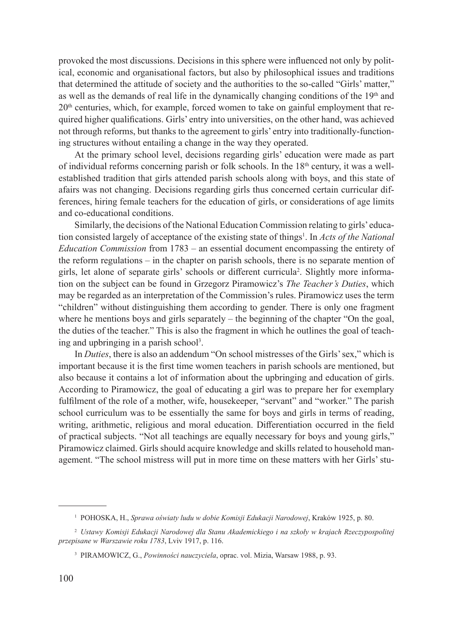provoked the most discussions. Decisions in this sphere were influenced not only by political, economic and organisational factors, but also by philosophical issues and traditions that determined the attitude of society and the authorities to the so-called "Girls' matter," as well as the demands of real life in the dynamically changing conditions of the 19<sup>th</sup> and  $20<sup>th</sup>$  centuries, which, for example, forced women to take on gainful employment that required higher qualifications. Girls' entry into universities, on the other hand, was achieved not through reforms, but thanks to the agreement to girls' entry into traditionally-functioning structures without entailing a change in the way they operated.

At the primary school level, decisions regarding girls' education were made as part of individual reforms concerning parish or folk schools. In the  $18<sup>th</sup>$  century, it was a wellestablished tradition that girls attended parish schools along with boys, and this state of afairs was not changing. Decisions regarding girls thus concerned certain curricular differences, hiring female teachers for the education of girls, or considerations of age limits and co-educational conditions.

Similarly, the decisions of the National Education Commission relating to girls' education consisted largely of acceptance of the existing state of things<sup>1</sup>. In *Acts of the National Education Commission* from 1783 – an essential document encompassing the entirety of the reform regulations – in the chapter on parish schools, there is no separate mention of girls, let alone of separate girls' schools or different curricula<sup>2</sup> . Slightly more information on the subject can be found in Grzegorz Piramowicz's *The Teacher's Duties*, which may be regarded as an interpretation of the Commission's rules. Piramowicz uses the term "children" without distinguishing them according to gender. There is only one fragment where he mentions boys and girls separately – the beginning of the chapter "On the goal, the duties of the teacher." This is also the fragment in which he outlines the goal of teaching and upbringing in a parish school<sup>3</sup>.

In *Duties*, there is also an addendum "On school mistresses of the Girls' sex," which is important because it is the first time women teachers in parish schools are mentioned, but also because it contains a lot of information about the upbringing and education of girls. According to Piramowicz, the goal of educating a girl was to prepare her for exemplary fulfilment of the role of a mother, wife, housekeeper, "servant" and "worker." The parish school curriculum was to be essentially the same for boys and girls in terms of reading, writing, arithmetic, religious and moral education. Differentiation occurred in the field of practical subjects. "Not all teachings are equally necessary for boys and young girls," Piramowicz claimed. Girls should acquire knowledge and skills related to household management. "The school mistress will put in more time on these matters with her Girls' stu-

<sup>1</sup> POHOSKA, H., *Sprawa oświaty ludu w dobie Komisji Edukacji Narodowej*, Kraków 1925, p. 80.

<sup>2</sup> *Ustawy Komisji Edukacji Narodowej dla Stanu Akademickiego i na szkoły w krajach Rzeczypospolitej przepisane w Warszawie roku 1783*, Lviv 1917, p. 116.

<sup>3</sup> PIRAMOWICZ, G., *Powinności nauczyciela*, oprac. vol. Mizia, Warsaw 1988, p. 93.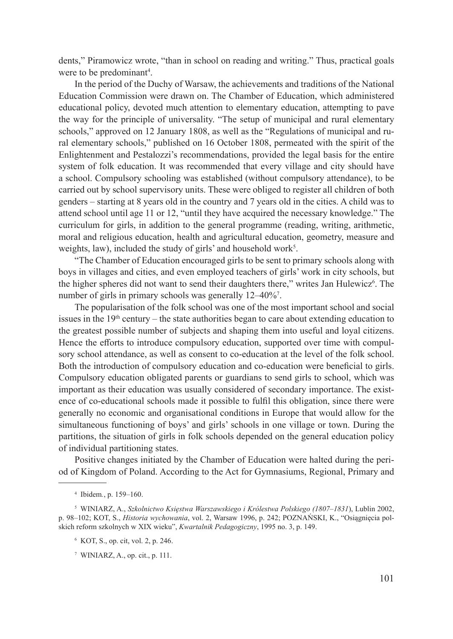dents," Piramowicz wrote, "than in school on reading and writing." Thus, practical goals were to be predominant<sup>4</sup>.

In the period of the Duchy of Warsaw, the achievements and traditions of the National Education Commission were drawn on. The Chamber of Education, which administered educational policy, devoted much attention to elementary education, attempting to pave the way for the principle of universality. "The setup of municipal and rural elementary schools," approved on 12 January 1808, as well as the "Regulations of municipal and rural elementary schools," published on 16 October 1808, permeated with the spirit of the Enlightenment and Pestalozzi's recommendations, provided the legal basis for the entire system of folk education. It was recommended that every village and city should have a school. Compulsory schooling was established (without compulsory attendance), to be carried out by school supervisory units. These were obliged to register all children of both genders – starting at 8 years old in the country and 7 years old in the cities. A child was to attend school until age 11 or 12, "until they have acquired the necessary knowledge." The curriculum for girls, in addition to the general programme (reading, writing, arithmetic, moral and religious education, health and agricultural education, geometry, measure and weights, law), included the study of girls' and household work<sup>5</sup>.

"The Chamber of Education encouraged girls to be sent to primary schools along with boys in villages and cities, and even employed teachers of girls' work in city schools, but the higher spheres did not want to send their daughters there," writes Jan Hulewicz<sup>6</sup>. The number of girls in primary schools was generally 12–40%<sup>7</sup>.

The popularisation of the folk school was one of the most important school and social issues in the  $19<sup>th</sup>$  century – the state authorities began to care about extending education to the greatest possible number of subjects and shaping them into useful and loyal citizens. Hence the efforts to introduce compulsory education, supported over time with compulsory school attendance, as well as consent to co-education at the level of the folk school. Both the introduction of compulsory education and co-education were beneficial to girls. Compulsory education obligated parents or guardians to send girls to school, which was important as their education was usually considered of secondary importance. The existence of co-educational schools made it possible to fulfil this obligation, since there were generally no economic and organisational conditions in Europe that would allow for the simultaneous functioning of boys' and girls' schools in one village or town. During the partitions, the situation of girls in folk schools depended on the general education policy of individual partitioning states.

Positive changes initiated by the Chamber of Education were halted during the period of Kingdom of Poland. According to the Act for Gymnasiums, Regional, Primary and

<sup>4</sup> Ibidem*.*, p. 159–160.

<sup>5</sup> WINIARZ, A., *Szkolnictwo Księstwa Warszawskiego i Królestwa Polskiego (1807–1831*), Lublin 2002, p. 98–102; KOT, S., *Historia wychowania*, vol. 2, Warsaw 1996, p. 242; POZNAŃSKI, K., "Osiągnięcia polskich reform szkolnych w XIX wieku", *Kwartalnik Pedagogiczny*, 1995 no. 3, p. 149.

<sup>6</sup> KOT, S., op. cit, vol. 2, p. 246.

<sup>7</sup> WINIARZ, A., op. cit., p. 111.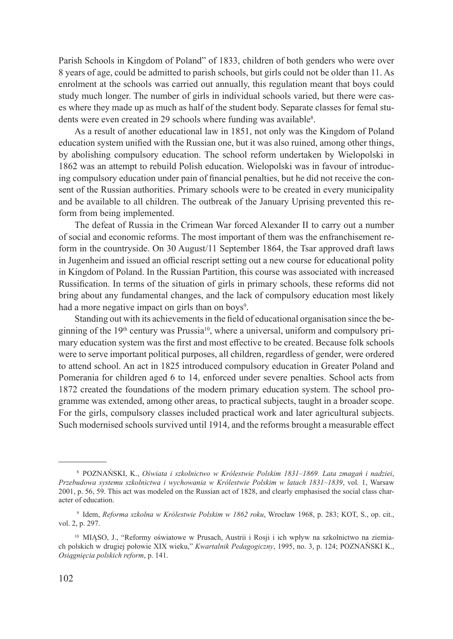Parish Schools in Kingdom of Poland" of 1833, children of both genders who were over 8 years of age, could be admitted to parish schools, but girls could not be older than 11. As enrolment at the schools was carried out annually, this regulation meant that boys could study much longer. The number of girls in individual schools varied, but there were cases where they made up as much as half of the student body. Separate classes for femal students were even created in 29 schools where funding was available<sup>8</sup>.

As a result of another educational law in 1851, not only was the Kingdom of Poland education system unified with the Russian one, but it was also ruined, among other things, by abolishing compulsory education. The school reform undertaken by Wielopolski in 1862 was an attempt to rebuild Polish education. Wielopolski was in favour of introducing compulsory education under pain of financial penalties, but he did not receive the consent of the Russian authorities. Primary schools were to be created in every municipality and be available to all children. The outbreak of the January Uprising prevented this reform from being implemented.

The defeat of Russia in the Crimean War forced Alexander II to carry out a number of social and economic reforms. The most important of them was the enfranchisement reform in the countryside. On 30 August/11 September 1864, the Tsar approved draft laws in Jugenheim and issued an official rescript setting out a new course for educational polity in Kingdom of Poland. In the Russian Partition, this course was associated with increased Russification. In terms of the situation of girls in primary schools, these reforms did not bring about any fundamental changes, and the lack of compulsory education most likely had a more negative impact on girls than on boys<sup>9</sup>.

Standing out with its achievements in the field of educational organisation since the beginning of the  $19<sup>th</sup>$  century was Prussia<sup>10</sup>, where a universal, uniform and compulsory primary education system was the first and most effective to be created. Because folk schools were to serve important political purposes, all children, regardless of gender, were ordered to attend school. An act in 1825 introduced compulsory education in Greater Poland and Pomerania for children aged 6 to 14, enforced under severe penalties. School acts from 1872 created the foundations of the modern primary education system. The school programme was extended, among other areas, to practical subjects, taught in a broader scope. For the girls, compulsory classes included practical work and later agricultural subjects. Such modernised schools survived until 1914, and the reforms brought a measurable effect

<sup>8</sup> POZNAŃSKI, K., *Oświata i szkolnictwo w Królestwie Polskim 1831–1869. Lata zmagań i nadziei*, *Przebudowa systemu szkolnictwa i wychowania w Królestwie Polskim w latach 1831–1839*, vol. 1, Warsaw 2001, p. 56, 59. This act was modeled on the Russian act of 1828, and clearly emphasised the social class character of education.

<sup>9</sup> Idem, *Reforma szkolna w Królestwie Polskim w 1862 roku*, Wrocław 1968, p. 283; KOT, S., op. cit., vol. 2, p. 297.

<sup>&</sup>lt;sup>10</sup> MIĄSO, J., "Reformy oświatowe w Prusach, Austrii i Rosji i ich wpływ na szkolnictwo na ziemiach polskich w drugiej połowie XIX wieku," *Kwartalnik Pedagogiczny*, 1995, no. 3, p. 124; POZNAŃSKI K., *Osiągnięcia polskich reform*, p. 141.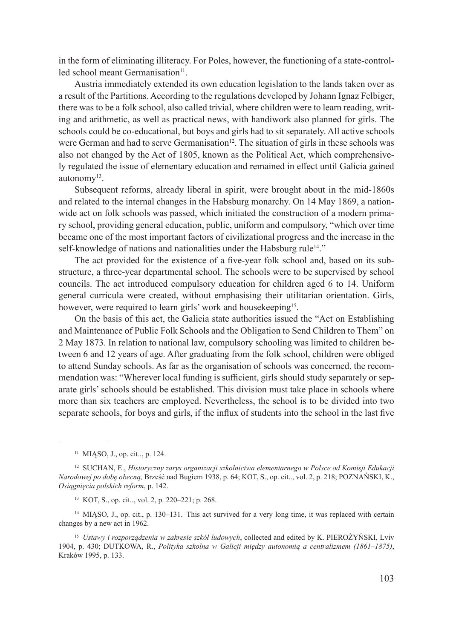in the form of eliminating illiteracy. For Poles, however, the functioning of a state-controlled school meant Germanisation $11$ .

Austria immediately extended its own education legislation to the lands taken over as a result of the Partitions. According to the regulations developed by Johann Ignaz Felbiger, there was to be a folk school, also called trivial, where children were to learn reading, writing and arithmetic, as well as practical news, with handiwork also planned for girls. The schools could be co-educational, but boys and girls had to sit separately. All active schools were German and had to serve Germanisation<sup>12</sup>. The situation of girls in these schools was also not changed by the Act of 1805, known as the Political Act, which comprehensively regulated the issue of elementary education and remained in effect until Galicia gained autonomy13.

Subsequent reforms, already liberal in spirit, were brought about in the mid-1860s and related to the internal changes in the Habsburg monarchy. On 14 May 1869, a nationwide act on folk schools was passed, which initiated the construction of a modern primary school, providing general education, public, uniform and compulsory, "which over time became one of the most important factors of civilizational progress and the increase in the self-knowledge of nations and nationalities under the Habsburg rule<sup>14</sup>."

The act provided for the existence of a five-year folk school and, based on its substructure, a three-year departmental school. The schools were to be supervised by school councils. The act introduced compulsory education for children aged 6 to 14. Uniform general curricula were created, without emphasising their utilitarian orientation. Girls, however, were required to learn girls' work and housekeeping<sup>15</sup>.

On the basis of this act, the Galicia state authorities issued the "Act on Establishing and Maintenance of Public Folk Schools and the Obligation to Send Children to Them" on 2 May 1873. In relation to national law, compulsory schooling was limited to children between 6 and 12 years of age. After graduating from the folk school, children were obliged to attend Sunday schools. As far as the organisation of schools was concerned, the recommendation was: "Wherever local funding is sufficient, girls should study separately or separate girls' schools should be established. This division must take place in schools where more than six teachers are employed. Nevertheless, the school is to be divided into two separate schools, for boys and girls, if the influx of students into the school in the last five

<sup>11</sup> MIĄSO, J., op. cit.., p. 124.

<sup>12</sup> SUCHAN, E., *Historyczny zarys organizacji szkolnictwa elementarnego w Polsce od Komisji Edukacji Narodowej po dobę obecną,* Brześć nad Bugiem 1938, p. 64; KOT, S., op. cit.., vol. 2, p. 218; POZNAŃSKI, K., *Osiągnięcia polskich reform*, p. 142.

<sup>13</sup> KOT, S., op. cit.., vol. 2, p. 220–221; p. 268.

<sup>&</sup>lt;sup>14</sup> MIĄSO, J., op. cit., p. 130-131. This act survived for a very long time, it was replaced with certain changes by a new act in 1962.

<sup>15</sup> *Ustawy i rozporządzenia w zakresie szkół ludowych*, collected and edited by K. PIEROŻYŃSKI, Lviv 1904, p. 430; DUTKOWA, R., *Polityka szkolna w Galicji między autonomią a centralizmem (1861–1875)*, Kraków 1995, p. 133.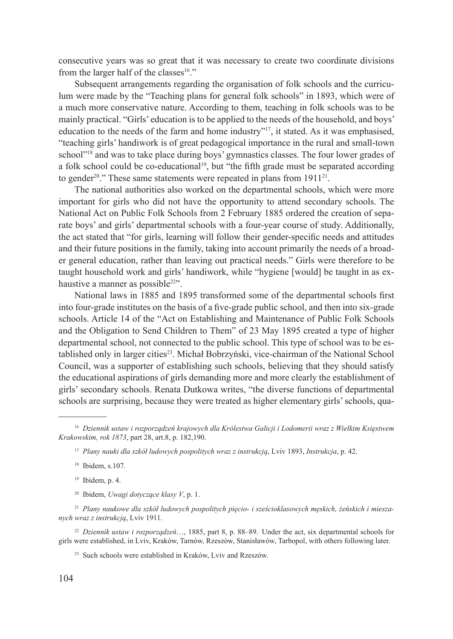consecutive years was so great that it was necessary to create two coordinate divisions from the larger half of the classes<sup>16</sup>."

Subsequent arrangements regarding the organisation of folk schools and the curriculum were made by the "Teaching plans for general folk schools" in 1893, which were of a much more conservative nature. According to them, teaching in folk schools was to be mainly practical. "Girls' education is to be applied to the needs of the household, and boys' education to the needs of the farm and home industry"17, it stated. As it was emphasised, "teaching girls' handiwork is of great pedagogical importance in the rural and small-town school"<sup>18</sup> and was to take place during boys' gymnastics classes. The four lower grades of a folk school could be co-educational<sup>19</sup>, but "the fifth grade must be separated according to gender<sup>20</sup>." These same statements were repeated in plans from 1911<sup>21</sup>.

The national authorities also worked on the departmental schools, which were more important for girls who did not have the opportunity to attend secondary schools. The National Act on Public Folk Schools from 2 February 1885 ordered the creation of separate boys' and girls' departmental schools with a four-year course of study. Additionally, the act stated that "for girls, learning will follow their gender-specific needs and attitudes and their future positions in the family, taking into account primarily the needs of a broader general education, rather than leaving out practical needs." Girls were therefore to be taught household work and girls' handiwork, while "hygiene [would] be taught in as exhaustive a manner as possible<sup>22"</sup>.

National laws in 1885 and 1895 transformed some of the departmental schools first into four-grade institutes on the basis of a five-grade public school, and then into six-grade schools. Article 14 of the "Act on Establishing and Maintenance of Public Folk Schools and the Obligation to Send Children to Them" of 23 May 1895 created a type of higher departmental school, not connected to the public school. This type of school was to be established only in larger cities<sup>23</sup>. Michał Bobrzyński, vice-chairman of the National School Council, was a supporter of establishing such schools, believing that they should satisfy the educational aspirations of girls demanding more and more clearly the establishment of girls' secondary schools. Renata Dutkowa writes, "the diverse functions of departmental schools are surprising, because they were treated as higher elementary girls' schools, qua-

<sup>20</sup> Ibidem, *Uwagi dotyczące klasy V*, p. 1.

<sup>21</sup> *Plany naukowe dla szkół ludowych pospolitych pięcio- i sześcioklasowych męskich, żeńskich i mieszanych wraz z instrukcją*, Lviv 1911.

<sup>22</sup> *Dziennik ustaw i rozporządzeń*…, 1885, part 8, p. 88–89. Under the act, six departmental schools for girls were established, in Lviv, Kraków, Tarnów, Rzeszów, Stanisławów, Tarbopol, with others following later.

<sup>23</sup> Such schools were established in Kraków, Lviv and Rzeszów.

<sup>16</sup> *Dziennik ustaw i rozporządzeń krajowych dla Królestwa Galicji i Lodomerii wraz z Wielkim Księstwem Krakowskim, rok 1873*, part 28, art.8, p. 182,190.

<sup>17</sup> *Plany nauki dla szkół ludowych pospolitych wraz z instrukcją*, Lviv 1893, *Instrukcja*, p. 42.

<sup>18</sup> Ibidem, s.107.

<sup>19</sup> Ibidem, p. 4.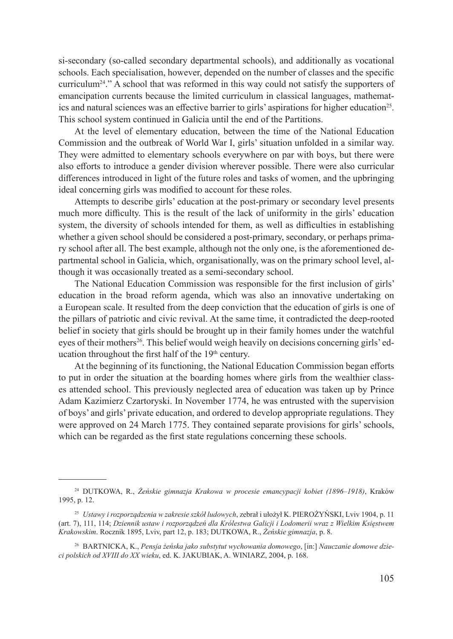si-secondary (so-called secondary departmental schools), and additionally as vocational schools. Each specialisation, however, depended on the number of classes and the specific curriculum24." A school that was reformed in this way could not satisfy the supporters of emancipation currents because the limited curriculum in classical languages, mathematics and natural sciences was an effective barrier to girls' aspirations for higher education25. This school system continued in Galicia until the end of the Partitions.

At the level of elementary education, between the time of the National Education Commission and the outbreak of World War I, girls' situation unfolded in a similar way. They were admitted to elementary schools everywhere on par with boys, but there were also efforts to introduce a gender division wherever possible. There were also curricular differences introduced in light of the future roles and tasks of women, and the upbringing ideal concerning girls was modified to account for these roles.

Attempts to describe girls' education at the post-primary or secondary level presents much more difficulty. This is the result of the lack of uniformity in the girls' education system, the diversity of schools intended for them, as well as difficulties in establishing whether a given school should be considered a post-primary, secondary, or perhaps primary school after all. The best example, although not the only one, is the aforementioned departmental school in Galicia, which, organisationally, was on the primary school level, although it was occasionally treated as a semi-secondary school.

The National Education Commission was responsible for the first inclusion of girls' education in the broad reform agenda, which was also an innovative undertaking on a European scale. It resulted from the deep conviction that the education of girls is one of the pillars of patriotic and civic revival. At the same time, it contradicted the deep-rooted belief in society that girls should be brought up in their family homes under the watchful eyes of their mothers<sup>26</sup>. This belief would weigh heavily on decisions concerning girls' education throughout the first half of the 19<sup>th</sup> century.

At the beginning of its functioning, the National Education Commission began efforts to put in order the situation at the boarding homes where girls from the wealthier classes attended school. This previously neglected area of education was taken up by Prince Adam Kazimierz Czartoryski. In November 1774, he was entrusted with the supervision of boys' and girls' private education, and ordered to develop appropriate regulations. They were approved on 24 March 1775. They contained separate provisions for girls' schools, which can be regarded as the first state regulations concerning these schools.

<sup>24</sup> DUTKOWA, R., *Żeńskie gimnazja Krakowa w procesie emancypacji kobiet (1896–1918)*, Kraków 1995, p. 12.

<sup>25</sup> *Ustawy i rozporządzenia w zakresie szkół ludowych*, zebrał i ułożył K. PIEROŻYŃSKI, Lviv 1904, p. 11 (art. 7), 111, 114; *Dziennik ustaw i rozporządzeń dla Królestwa Galicji i Lodomerii wraz z Wielkim Księstwem Krakowskim*. Rocznik 1895, Lviv, part 12, p. 183; DUTKOWA, R., *Żeńskie gimnazja*, p. 8.

<sup>26</sup> BARTNICKA, K., *Pensja żeńska jako substytut wychowania domowego*, [in:] *Nauczanie domowe dzieci polskich od XVIII do XX wieku*, ed. K. JAKUBIAK, A. WINIARZ, 2004, p. 168.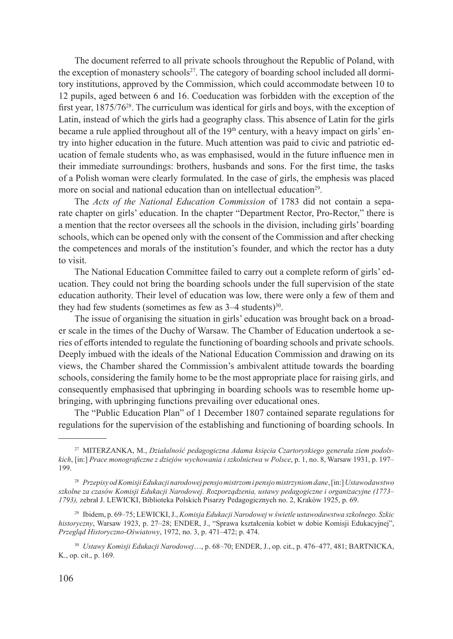The document referred to all private schools throughout the Republic of Poland, with the exception of monastery schools<sup>27</sup>. The category of boarding school included all dormitory institutions, approved by the Commission, which could accommodate between 10 to 12 pupils, aged between 6 and 16. Coeducation was forbidden with the exception of the first year,  $1875/76^{28}$ . The curriculum was identical for girls and boys, with the exception of Latin, instead of which the girls had a geography class. This absence of Latin for the girls became a rule applied throughout all of the  $19<sup>th</sup>$  century, with a heavy impact on girls' entry into higher education in the future. Much attention was paid to civic and patriotic education of female students who, as was emphasised, would in the future influence men in their immediate surroundings: brothers, husbands and sons. For the first time, the tasks of a Polish woman were clearly formulated. In the case of girls, the emphesis was placed more on social and national education than on intellectual education<sup>29</sup>

The *Acts of the National Education Commission* of 1783 did not contain a separate chapter on girls' education. In the chapter "Department Rector, Pro-Rector," there is a mention that the rector oversees all the schools in the division, including girls' boarding schools, which can be opened only with the consent of the Commission and after checking the competences and morals of the institution's founder, and which the rector has a duty to visit.

The National Education Committee failed to carry out a complete reform of girls' education. They could not bring the boarding schools under the full supervision of the state education authority. Their level of education was low, there were only a few of them and they had few students (sometimes as few as  $3-4$  students)<sup>30</sup>.

The issue of organising the situation in girls' education was brought back on a broader scale in the times of the Duchy of Warsaw. The Chamber of Education undertook a series of efforts intended to regulate the functioning of boarding schools and private schools. Deeply imbued with the ideals of the National Education Commission and drawing on its views, the Chamber shared the Commission's ambivalent attitude towards the boarding schools, considering the family home to be the most appropriate place for raising girls, and consequently emphasised that upbringing in boarding schools was to resemble home upbringing, with upbringing functions prevailing over educational ones.

The "Public Education Plan" of 1 December 1807 contained separate regulations for regulations for the supervision of the establishing and functioning of boarding schools. In

<sup>30</sup> *Ustawy Komisji Edukacji Narodowej*…, p. 68–70; ENDER, J., op. cit., p. 476–477, 481; BARTNICKA, K., op. cit., p. 169.

<sup>27</sup> MITERZANKA, M., *Działalność pedagogiczna Adama księcia Czartoryskiego generała ziem podolskich*, [in:] *Prace monograficzne z dziejów wychowania i szkolnictwa w Polsce*, p. 1, no. 8, Warsaw 1931, p. 197– 199.

<sup>28</sup> *Przepisy od Komisji Edukacji narodowej pensjo mistrzom i pensjo mistrzyniom dane*,[in:] *Ustawodawstwo szkolne za czasów Komisji Edukacji Narodowej. Rozporządzenia, ustawy pedagogiczne i organizacyjne (1773– 1793),* zebrał J. LEWICKI, Biblioteka Polskich Pisarzy Pedagogicznych no. 2, Kraków 1925, p. 69.

<sup>29</sup> Ibidem, p. 69–75; LEWICKI, J., *Komisja Edukacji Narodowej w świetle ustawodawstwa szkolnego. Szkic historyczny*, Warsaw 1923, p. 27–28; ENDER, J., "Sprawa kształcenia kobiet w dobie Komisji Edukacyjnej", *Przegląd Historyczno-Oświatowy*, 1972, no. 3, p. 471–472; p. 474.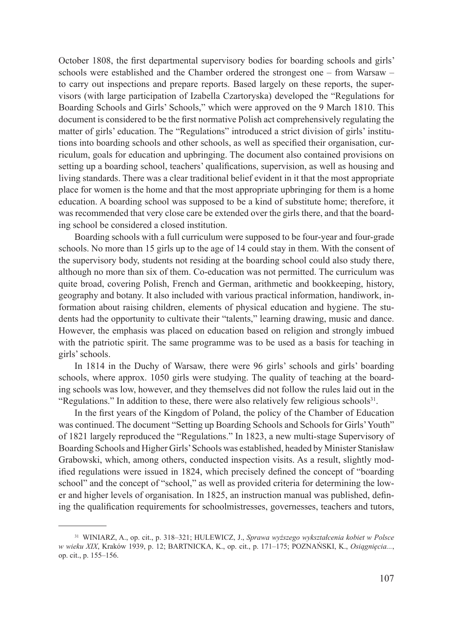October 1808, the first departmental supervisory bodies for boarding schools and girls' schools were established and the Chamber ordered the strongest one – from Warsaw – to carry out inspections and prepare reports. Based largely on these reports, the supervisors (with large participation of Izabella Czartoryska) developed the "Regulations for Boarding Schools and Girls' Schools," which were approved on the 9 March 1810. This document is considered to be the first normative Polish act comprehensively regulating the matter of girls' education. The "Regulations" introduced a strict division of girls' institutions into boarding schools and other schools, as well as specified their organisation, curriculum, goals for education and upbringing. The document also contained provisions on setting up a boarding school, teachers' qualifications, supervision, as well as housing and living standards. There was a clear traditional belief evident in it that the most appropriate place for women is the home and that the most appropriate upbringing for them is a home education. A boarding school was supposed to be a kind of substitute home; therefore, it was recommended that very close care be extended over the girls there, and that the boarding school be considered a closed institution.

Boarding schools with a full curriculum were supposed to be four-year and four-grade schools. No more than 15 girls up to the age of 14 could stay in them. With the consent of the supervisory body, students not residing at the boarding school could also study there, although no more than six of them. Co-education was not permitted. The curriculum was quite broad, covering Polish, French and German, arithmetic and bookkeeping, history, geography and botany. It also included with various practical information, handiwork, information about raising children, elements of physical education and hygiene. The students had the opportunity to cultivate their "talents," learning drawing, music and dance. However, the emphasis was placed on education based on religion and strongly imbued with the patriotic spirit. The same programme was to be used as a basis for teaching in girls' schools.

In 1814 in the Duchy of Warsaw, there were 96 girls' schools and girls' boarding schools, where approx. 1050 girls were studying. The quality of teaching at the boarding schools was low, however, and they themselves did not follow the rules laid out in the "Regulations." In addition to these, there were also relatively few religious schools $^{31}$ .

In the first years of the Kingdom of Poland, the policy of the Chamber of Education was continued. The document "Setting up Boarding Schools and Schools for Girls' Youth" of 1821 largely reproduced the "Regulations." In 1823, a new multi-stage Supervisory of Boarding Schools and Higher Girls' Schools was established, headed by Minister Stanisław Grabowski, which, among others, conducted inspection visits. As a result, slightly modified regulations were issued in 1824, which precisely defined the concept of "boarding school" and the concept of "school," as well as provided criteria for determining the lower and higher levels of organisation. In 1825, an instruction manual was published, defining the qualification requirements for schoolmistresses, governesses, teachers and tutors,

<sup>31</sup> WINIARZ, A., op. cit., p. 318–321; HULEWICZ, J., *Sprawa wyższego wykształcenia kobiet w Polsce w wieku XIX*, Kraków 1939, p. 12; BARTNICKA, K., op. cit., p. 171–175; POZNAŃSKI, K., *Osiągnięcia...*, op. cit., p. 155–156.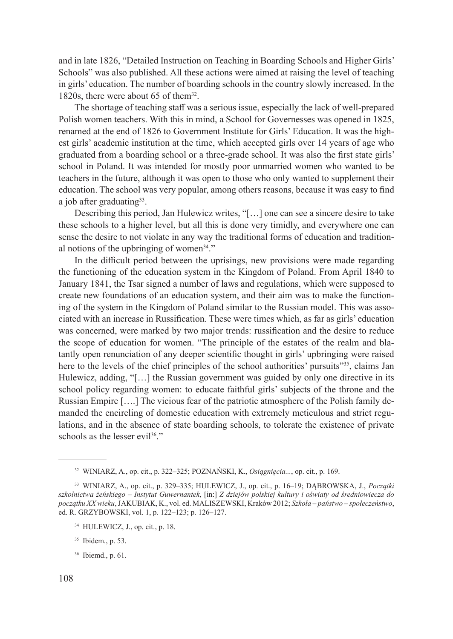and in late 1826, "Detailed Instruction on Teaching in Boarding Schools and Higher Girls' Schools" was also published. All these actions were aimed at raising the level of teaching in girls' education. The number of boarding schools in the country slowly increased. In the 1820s, there were about 65 of them<sup>32</sup>.

The shortage of teaching staff was a serious issue, especially the lack of well-prepared Polish women teachers. With this in mind, a School for Governesses was opened in 1825, renamed at the end of 1826 to Government Institute for Girls' Education. It was the highest girls' academic institution at the time, which accepted girls over 14 years of age who graduated from a boarding school or a three-grade school. It was also the first state girls' school in Poland. It was intended for mostly poor unmarried women who wanted to be teachers in the future, although it was open to those who only wanted to supplement their education. The school was very popular, among others reasons, because it was easy to find a job after graduating $33$ .

Describing this period, Jan Hulewicz writes, "[…] one can see a sincere desire to take these schools to a higher level, but all this is done very timidly, and everywhere one can sense the desire to not violate in any way the traditional forms of education and traditional notions of the upbringing of women<sup>34</sup>."

In the difficult period between the uprisings, new provisions were made regarding the functioning of the education system in the Kingdom of Poland. From April 1840 to January 1841, the Tsar signed a number of laws and regulations, which were supposed to create new foundations of an education system, and their aim was to make the functioning of the system in the Kingdom of Poland similar to the Russian model. This was associated with an increase in Russification. These were times which, as far as girls' education was concerned, were marked by two major trends: russification and the desire to reduce the scope of education for women. "The principle of the estates of the realm and blatantly open renunciation of any deeper scientific thought in girls' upbringing were raised here to the levels of the chief principles of the school authorities' pursuits"<sup>35</sup>, claims Jan Hulewicz, adding, "[...] the Russian government was guided by only one directive in its school policy regarding women: to educate faithful girls' subjects of the throne and the Russian Empire [….] The vicious fear of the patriotic atmosphere of the Polish family demanded the encircling of domestic education with extremely meticulous and strict regulations, and in the absence of state boarding schools, to tolerate the existence of private schools as the lesser evil<sup>36</sup>."

<sup>32</sup> WINIARZ, A., op. cit., p. 322–325; POZNAŃSKI, K., *Osiągnięcia...*, op. cit., p. 169.

<sup>33</sup> WINIARZ, A., op. cit., p. 329–335; HULEWICZ, J., op. cit., p. 16–19; DĄBROWSKA, J., *Początki szkolnictwa żeńskiego – Instytut Guwernantek*, [in:] *Z dziejów polskiej kultury i oświaty od średniowiecza do początku XX wieku*, JAKUBIAK, K., vol. ed. MALISZEWSKI, Kraków 2012; *Szkoła – państwo – społeczeństwo*, ed. R. GRZYBOWSKI, vol. 1, p. 122–123; p. 126–127.

<sup>34</sup> HULEWICZ, J., op. cit., p. 18.

<sup>35</sup> Ibidem*.*, p. 53.

<sup>36</sup> Ibiemd., p. 61.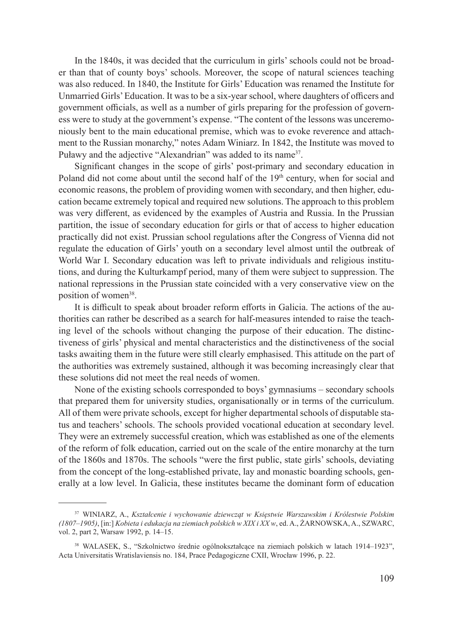In the 1840s, it was decided that the curriculum in girls' schools could not be broader than that of county boys' schools. Moreover, the scope of natural sciences teaching was also reduced. In 1840, the Institute for Girls' Education was renamed the Institute for Unmarried Girls' Education. It was to be a six-year school, where daughters of officers and government officials, as well as a number of girls preparing for the profession of governess were to study at the government's expense. "The content of the lessons was unceremoniously bent to the main educational premise, which was to evoke reverence and attachment to the Russian monarchy," notes Adam Winiarz. In 1842, the Institute was moved to Puławy and the adjective "Alexandrian" was added to its name<sup>37</sup>.

Significant changes in the scope of girls' post-primary and secondary education in Poland did not come about until the second half of the  $19<sup>th</sup>$  century, when for social and economic reasons, the problem of providing women with secondary, and then higher, education became extremely topical and required new solutions. The approach to this problem was very different, as evidenced by the examples of Austria and Russia. In the Prussian partition, the issue of secondary education for girls or that of access to higher education practically did not exist. Prussian school regulations after the Congress of Vienna did not regulate the education of Girls' youth on a secondary level almost until the outbreak of World War I. Secondary education was left to private individuals and religious institutions, and during the Kulturkampf period, many of them were subject to suppression. The national repressions in the Prussian state coincided with a very conservative view on the position of women<sup>38</sup>.

It is difficult to speak about broader reform efforts in Galicia. The actions of the authorities can rather be described as a search for half-measures intended to raise the teaching level of the schools without changing the purpose of their education. The distinctiveness of girls' physical and mental characteristics and the distinctiveness of the social tasks awaiting them in the future were still clearly emphasised. This attitude on the part of the authorities was extremely sustained, although it was becoming increasingly clear that these solutions did not meet the real needs of women.

None of the existing schools corresponded to boys' gymnasiums – secondary schools that prepared them for university studies, organisationally or in terms of the curriculum. All of them were private schools, except for higher departmental schools of disputable status and teachers' schools. The schools provided vocational education at secondary level. They were an extremely successful creation, which was established as one of the elements of the reform of folk education, carried out on the scale of the entire monarchy at the turn of the 1860s and 1870s. The schools "were the first public, state girls' schools, deviating from the concept of the long-established private, lay and monastic boarding schools, generally at a low level. In Galicia, these institutes became the dominant form of education

<sup>37</sup> WINIARZ, A., *Kształcenie i wychowanie dziewcząt w Księstwie Warszawskim i Królestwie Polskim (1807–1905)*, [in:] *Kobieta i edukacja na ziemiach polskich w XIX i XX w*, ed. A., ŻARNOWSKA, A., SZWARC, vol. 2, part 2, Warsaw 1992, p. 14–15.

<sup>38</sup> WALASEK, S., "Szkolnictwo średnie ogólnokształcące na ziemiach polskich w latach 1914–1923", Acta Universitatis Wratislaviensis no. 184, Prace Pedagogiczne CXII, Wrocław 1996, p. 22.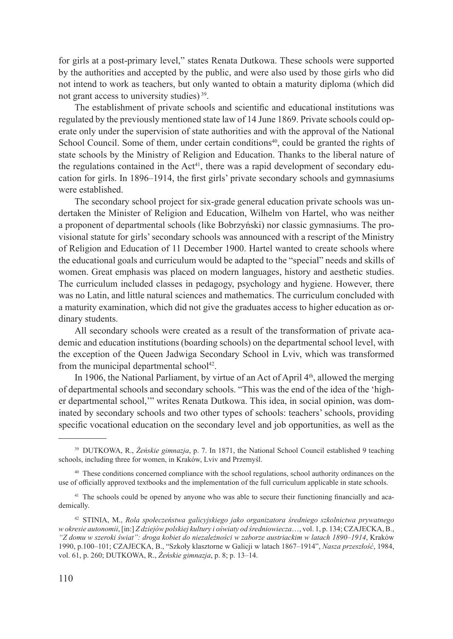for girls at a post-primary level," states Renata Dutkowa. These schools were supported by the authorities and accepted by the public, and were also used by those girls who did not intend to work as teachers, but only wanted to obtain a maturity diploma (which did not grant access to university studies) 39.

The establishment of private schools and scientific and educational institutions was regulated by the previously mentioned state law of 14 June 1869. Private schools could operate only under the supervision of state authorities and with the approval of the National School Council. Some of them, under certain conditions $40$ , could be granted the rights of state schools by the Ministry of Religion and Education. Thanks to the liberal nature of the regulations contained in the  $Act^{41}$ , there was a rapid development of secondary education for girls. In 1896–1914, the first girls' private secondary schools and gymnasiums were established.

The secondary school project for six-grade general education private schools was undertaken the Minister of Religion and Education, Wilhelm von Hartel, who was neither a proponent of departmental schools (like Bobrzyński) nor classic gymnasiums. The provisional statute for girls' secondary schools was announced with a rescript of the Ministry of Religion and Education of 11 December 1900. Hartel wanted to create schools where the educational goals and curriculum would be adapted to the "special" needs and skills of women. Great emphasis was placed on modern languages, history and aesthetic studies. The curriculum included classes in pedagogy, psychology and hygiene. However, there was no Latin, and little natural sciences and mathematics. The curriculum concluded with a maturity examination, which did not give the graduates access to higher education as ordinary students.

All secondary schools were created as a result of the transformation of private academic and education institutions (boarding schools) on the departmental school level, with the exception of the Queen Jadwiga Secondary School in Lviv, which was transformed from the municipal departmental school $42$ .

In 1906, the National Parliament, by virtue of an Act of April  $4<sup>th</sup>$ , allowed the merging of departmental schools and secondary schools. "This was the end of the idea of the 'higher departmental school,'" writes Renata Dutkowa. This idea, in social opinion, was dominated by secondary schools and two other types of schools: teachers' schools, providing specific vocational education on the secondary level and job opportunities, as well as the

<sup>39</sup> DUTKOWA, R., *Żeńskie gimnazja*, p. 7. In 1871, the National School Council established 9 teaching schools, including three for women, in Kraków, Lviv and Przemyśl.

<sup>40</sup> These conditions concerned compliance with the school regulations, school authority ordinances on the use of officially approved textbooks and the implementation of the full curriculum applicable in state schools.

<sup>&</sup>lt;sup>41</sup> The schools could be opened by anyone who was able to secure their functioning financially and academically.

<sup>42</sup> STINIA, M., *Rola społeczeństwa galicyjskiego jako organizatora średniego szkolnictwa prywatnego w okresie autonomii*, [in:] *Z dziejów polskiej kultury i oświaty od średniowiecza*…, vol. 1, p. 134; CZAJECKA, B., *"Z domu w szeroki świat": droga kobiet do niezależności w zaborze austriackim w latach 1890–1914*, Kraków 1990, p.100–101; CZAJECKA, B., "Szkoły klasztorne w Galicji w latach 1867–1914", *Nasza przeszłość*, 1984, vol. 61, p. 260; DUTKOWA, R., *Żeńskie gimnazja*, p. 8; p. 13–14.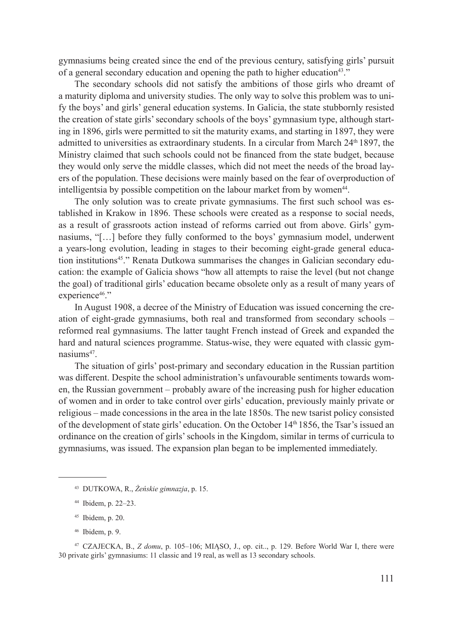gymnasiums being created since the end of the previous century, satisfying girls' pursuit of a general secondary education and opening the path to higher education<sup>43</sup>."

The secondary schools did not satisfy the ambitions of those girls who dreamt of a maturity diploma and university studies. The only way to solve this problem was to unify the boys' and girls' general education systems. In Galicia, the state stubbornly resisted the creation of state girls' secondary schools of the boys' gymnasium type, although starting in 1896, girls were permitted to sit the maturity exams, and starting in 1897, they were admitted to universities as extraordinary students. In a circular from March  $24<sup>th</sup> 1897$ , the Ministry claimed that such schools could not be financed from the state budget, because they would only serve the middle classes, which did not meet the needs of the broad layers of the population. These decisions were mainly based on the fear of overproduction of intelligentsia by possible competition on the labour market from by women<sup>44</sup>.

The only solution was to create private gymnasiums. The first such school was established in Krakow in 1896. These schools were created as a response to social needs, as a result of grassroots action instead of reforms carried out from above. Girls' gymnasiums, "[…] before they fully conformed to the boys' gymnasium model, underwent a years-long evolution, leading in stages to their becoming eight-grade general education institutions<sup>45</sup>." Renata Dutkowa summarises the changes in Galician secondary education: the example of Galicia shows "how all attempts to raise the level (but not change the goal) of traditional girls' education became obsolete only as a result of many years of experience<sup>46</sup>."

In August 1908, a decree of the Ministry of Education was issued concerning the creation of eight-grade gymnasiums, both real and transformed from secondary schools – reformed real gymnasiums. The latter taught French instead of Greek and expanded the hard and natural sciences programme. Status-wise, they were equated with classic gymnasiums47.

The situation of girls' post-primary and secondary education in the Russian partition was different. Despite the school administration's unfavourable sentiments towards women, the Russian government – probably aware of the increasing push for higher education of women and in order to take control over girls' education, previously mainly private or religious – made concessions in the area in the late 1850s. The new tsarist policy consisted of the development of state girls' education. On the October 14th 1856, the Tsar's issued an ordinance on the creation of girls' schools in the Kingdom, similar in terms of curricula to gymnasiums, was issued. The expansion plan began to be implemented immediately.

<sup>43</sup> DUTKOWA, R., *Żeńskie gimnazja*, p. 15.

<sup>44</sup> Ibidem, p. 22–23.

<sup>45</sup> Ibidem, p. 20.

<sup>46</sup> Ibidem, p. 9.

<sup>47</sup> CZAJECKA, B., *Z domu*, p. 105–106; MIĄSO, J., op. cit.., p. 129. Before World War I, there were 30 private girls' gymnasiums: 11 classic and 19 real, as well as 13 secondary schools.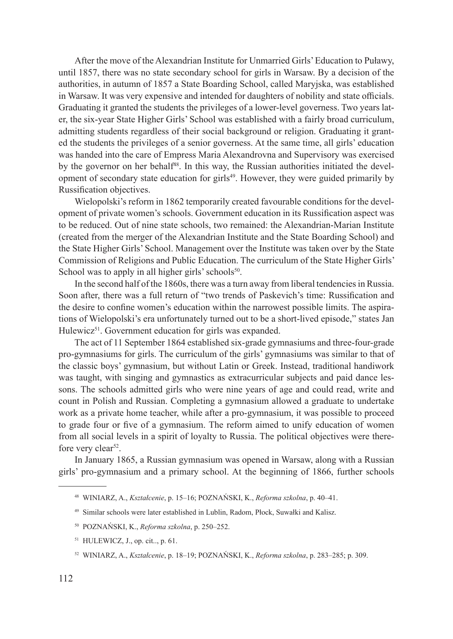After the move of the Alexandrian Institute for Unmarried Girls' Education to Puławy, until 1857, there was no state secondary school for girls in Warsaw. By a decision of the authorities, in autumn of 1857 a State Boarding School, called Maryjska, was established in Warsaw. It was very expensive and intended for daughters of nobility and state officials. Graduating it granted the students the privileges of a lower-level governess. Two years later, the six-year State Higher Girls' School was established with a fairly broad curriculum, admitting students regardless of their social background or religion. Graduating it granted the students the privileges of a senior governess. At the same time, all girls' education was handed into the care of Empress Maria Alexandrovna and Supervisory was exercised by the governor on her behalf<sup>48</sup>. In this way, the Russian authorities initiated the development of secondary state education for girls49. However, they were guided primarily by Russification objectives.

Wielopolski's reform in 1862 temporarily created favourable conditions for the development of private women's schools. Government education in its Russification aspect was to be reduced. Out of nine state schools, two remained: the Alexandrian-Marian Institute (created from the merger of the Alexandrian Institute and the State Boarding School) and the State Higher Girls' School. Management over the Institute was taken over by the State Commission of Religions and Public Education. The curriculum of the State Higher Girls' School was to apply in all higher girls' schools<sup>50</sup>.

In the second half of the 1860s, there was a turn away from liberal tendencies in Russia. Soon after, there was a full return of "two trends of Paskevich's time: Russification and the desire to confine women's education within the narrowest possible limits. The aspirations of Wielopolski's era unfortunately turned out to be a short-lived episode," states Jan Hulewicz<sup>51</sup>. Government education for girls was expanded.

The act of 11 September 1864 established six-grade gymnasiums and three-four-grade pro-gymnasiums for girls. The curriculum of the girls' gymnasiums was similar to that of the classic boys' gymnasium, but without Latin or Greek. Instead, traditional handiwork was taught, with singing and gymnastics as extracurricular subjects and paid dance lessons. The schools admitted girls who were nine years of age and could read, write and count in Polish and Russian. Completing a gymnasium allowed a graduate to undertake work as a private home teacher, while after a pro-gymnasium, it was possible to proceed to grade four or five of a gymnasium. The reform aimed to unify education of women from all social levels in a spirit of loyalty to Russia. The political objectives were therefore very clear<sup>52</sup>.

In January 1865, a Russian gymnasium was opened in Warsaw, along with a Russian girls' pro-gymnasium and a primary school. At the beginning of 1866, further schools

<sup>48</sup> WINIARZ, A., *Kształcenie*, p. 15–16; POZNAŃSKI, K., *Reforma szkolna*, p. 40–41.

<sup>49</sup> Similar schools were later established in Lublin, Radom, Płock, Suwałki and Kalisz.

<sup>50</sup> POZNAŃSKI, K., *Reforma szkolna*, p. 250–252.

<sup>51</sup> HULEWICZ, J., op. cit.., p. 61.

<sup>52</sup> WINIARZ, A., *Kształcenie*, p. 18–19; POZNAŃSKI, K., *Reforma szkolna*, p. 283–285; p. 309.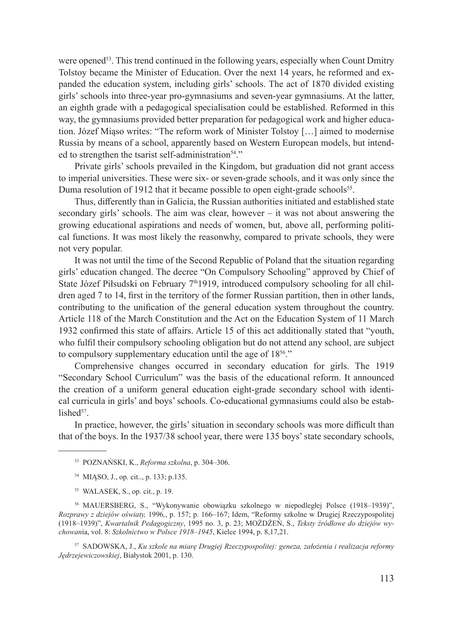were opened<sup>53</sup>. This trend continued in the following years, especially when Count Dmitry Tolstoy became the Minister of Education. Over the next 14 years, he reformed and expanded the education system, including girls' schools. The act of 1870 divided existing girls' schools into three-year pro-gymnasiums and seven-year gymnasiums. At the latter, an eighth grade with a pedagogical specialisation could be established. Reformed in this way, the gymnasiums provided better preparation for pedagogical work and higher education. Józef Miąso writes: "The reform work of Minister Tolstoy […] aimed to modernise Russia by means of a school, apparently based on Western European models, but intended to strengthen the tsarist self-administration<sup>54</sup>."

Private girls' schools prevailed in the Kingdom, but graduation did not grant access to imperial universities. These were six- or seven-grade schools, and it was only since the Duma resolution of 1912 that it became possible to open eight-grade schools<sup>55</sup>.

Thus, differently than in Galicia, the Russian authorities initiated and established state secondary girls' schools. The aim was clear, however  $-$  it was not about answering the growing educational aspirations and needs of women, but, above all, performing political functions. It was most likely the reasonwhy, compared to private schools, they were not very popular.

It was not until the time of the Second Republic of Poland that the situation regarding girls' education changed. The decree "On Compulsory Schooling" approved by Chief of State Józef Piłsudski on February 7<sup>th</sup>1919, introduced compulsory schooling for all children aged 7 to 14, first in the territory of the former Russian partition, then in other lands, contributing to the unification of the general education system throughout the country. Article 118 of the March Constitution and the Act on the Education System of 11 March 1932 confirmed this state of affairs. Article 15 of this act additionally stated that "youth, who fulfil their compulsory schooling obligation but do not attend any school, are subject to compulsory supplementary education until the age of 18<sup>56</sup>."

Comprehensive changes occurred in secondary education for girls. The 1919 "Secondary School Curriculum" was the basis of the educational reform. It announced the creation of a uniform general education eight-grade secondary school with identical curricula in girls' and boys' schools. Co-educational gymnasiums could also be established $57$ 

In practice, however, the girls' situation in secondary schools was more difficult than that of the boys. In the 1937/38 school year, there were 135 boys' state secondary schools,

- <sup>53</sup> POZNAŃSKI, K., *Reforma szkolna*, p. 304–306.
- <sup>54</sup> MIĄSO, J., op. cit.., p. 133; p.135.
- <sup>55</sup> WALASEK, S., op. cit., p. 19.

<sup>56</sup> MAUERSBERG, S., "Wykonywanie obowiązku szkolnego w niepodległej Polsce (1918–1939)", *Rozprawy z dziejów oświaty,* 1996*,*, p. 157; p. 166–167; Idem, "Reformy szkolne w Drugiej Rzeczypospolitej (1918–1939)", *Kwartalnik Pedagogiczny*, 1995 no. 3, p. 23; MOŻDŻEŃ, S., *Teksty źródłowe do dziejów wychowan*ia, vol. 8: *Szkolnictwo w Polsce 1918–1945*, Kielce 1994, p. 8,17,21.

<sup>57</sup> SADOWSKA, J., *Ku szkole na miarę Drugiej Rzeczypospolitej: geneza, założenia i realizacja reformy Jędrzejewiczowskiej*, Białystok 2001, p. 130.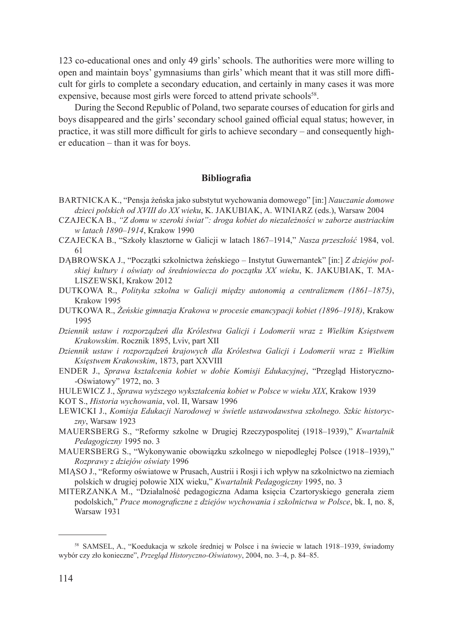123 co-educational ones and only 49 girls' schools. The authorities were more willing to open and maintain boys' gymnasiums than girls' which meant that it was still more difficult for girls to complete a secondary education, and certainly in many cases it was more expensive, because most girls were forced to attend private schools<sup>58</sup>.

During the Second Republic of Poland, two separate courses of education for girls and boys disappeared and the girls' secondary school gained official equal status; however, in practice, it was still more difficult for girls to achieve secondary – and consequently higher education – than it was for boys.

## **Bibliografia**

- Bartnicka K., "Pensja żeńska jako substytut wychowania domowego" [in:] *Nauczanie domowe dzieci polskich od XVIII do XX wieku*, K. Jakubiak, A. Winiarz (eds.), Warsaw 2004
- Czajecka B., *"Z domu w szeroki świat": droga kobiet do niezależności w zaborze austriackim w latach 1890–1914*, Krakow 1990
- Czajecka B., "Szkoły klasztorne w Galicji w latach 1867–1914," *Nasza przeszłość* 1984, vol. 61
- DĄBROWSKA J., "Początki szkolnictwa żeńskiego Instytut Guwernantek" [in:] *Z dziejów polskiej kultury i oświaty od średniowiecza do początku XX wieku*, K. Jakubiak, T. Maliszewski, Krakow 2012
- Dutkowa R., *Polityka szkolna w Galicji między autonomią a centralizmem (1861–1875)*, Krakow 1995
- Dutkowa R., *Żeńskie gimnazja Krakowa w procesie emancypacji kobiet (1896–1918)*, Krakow 1995
- *Dziennik ustaw i rozporządzeń dla Królestwa Galicji i Lodomerii wraz z Wielkim Księstwem Krakowskim*. Rocznik 1895, Lviv, part XII
- *Dziennik ustaw i rozporządzeń krajowych dla Królestwa Galicji i Lodomerii wraz z Wielkim Księstwem Krakowskim*, 1873, part XXVIII
- Ender J., *Sprawa kształcenia kobiet w dobie Komisji Edukacyjnej*, "Przegląd Historyczno- -Oświatowy" 1972, no. 3
- Hulewicz J., *Sprawa wyższego wykształcenia kobiet w Polsce w wieku XIX*, Krakow 1939
- KOT S., *Historia wychowania*, vol. II, Warsaw 1996
- Lewicki J., *Komisja Edukacji Narodowej w świetle ustawodawstwa szkolnego. Szkic historyczny*, Warsaw 1923
- Mauersberg S., "Reformy szkolne w Drugiej Rzeczypospolitej (1918–1939)," *Kwartalnik Pedagogiczny* 1995 no. 3
- MAUERSBERG S., "Wykonywanie obowiązku szkolnego w niepodległej Polsce (1918–1939)," *Rozprawy z dziejów oświaty* 1996
- Miąso J., "Reformy oświatowe w Prusach, Austrii i Rosji i ich wpływ na szkolnictwo na ziemiach polskich w drugiej połowie XIX wieku," *Kwartalnik Pedagogiczny* 1995, no. 3
- Miterzanka M., "Działalność pedagogiczna Adama księcia Czartoryskiego generała ziem podolskich," *Prace monograficzne z dziejów wychowania i szkolnictwa w Polsce*, bk. I, no. 8, Warsaw 1931

<sup>58</sup> SAMSEL, A., "Koedukacja w szkole średniej w Polsce i na świecie w latach 1918–1939, świadomy wybór czy zło konieczne", *Przegląd Historyczno-Oświatowy*, 2004, no. 3–4, p. 84–85.